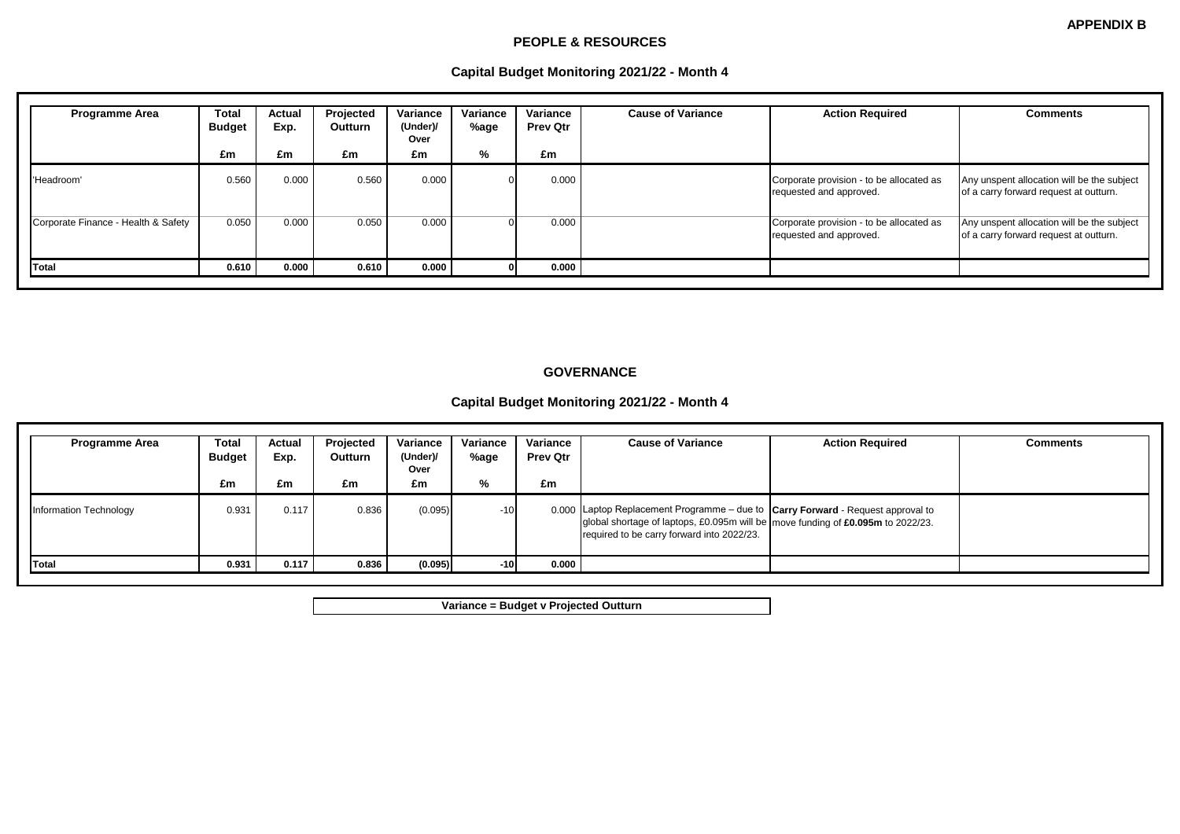#### **PEOPLE & RESOURCES**

## **Capital Budget Monitoring 2021/22 - Month 4**

| <b>Programme Area</b>               | <b>Total</b><br><b>Budget</b><br>£m | Actual<br>Exp.<br>£m | Projected<br>Outturn<br>£m | Variance<br>(Under)/<br>Over<br>£m | Variance<br>%age<br>% | Variance<br><b>Prev Qtr</b><br>£m | <b>Cause of Variance</b> | <b>Action Required</b>                                              | <b>Comments</b>                                                                      |
|-------------------------------------|-------------------------------------|----------------------|----------------------------|------------------------------------|-----------------------|-----------------------------------|--------------------------|---------------------------------------------------------------------|--------------------------------------------------------------------------------------|
| 'Headroom'                          | 0.560                               | 0.000                | 0.560                      | 0.000                              |                       | 0.000                             |                          | Corporate provision - to be allocated as<br>requested and approved. | Any unspent allocation will be the subject<br>of a carry forward request at outturn. |
| Corporate Finance - Health & Safety | 0.050                               | 0.000                | 0.050                      | 0.000                              |                       | 0.000                             |                          | Corporate provision - to be allocated as<br>requested and approved. | Any unspent allocation will be the subject<br>of a carry forward request at outturn. |
| Total                               | 0.610                               | 0.000                | 0.610                      | 0.000                              |                       | 0.000                             |                          |                                                                     |                                                                                      |

### **GOVERNANCE**

### **Capital Budget Monitoring 2021/22 - Month 4**

| <b>Programme Area</b>  | Total<br><b>Budget</b> | Actual<br>Exp. | Projected<br><b>Outturn</b> | Variance<br>(Under)/<br>Over | Variance<br>%age | Variance<br><b>Prev Qtr</b> | <b>Cause of Variance</b>                                                                                                                                                                                            | <b>Action Required</b> | <b>Comments</b> |
|------------------------|------------------------|----------------|-----------------------------|------------------------------|------------------|-----------------------------|---------------------------------------------------------------------------------------------------------------------------------------------------------------------------------------------------------------------|------------------------|-----------------|
|                        | £m                     | £m             | £m                          | £m                           | %                | £m                          |                                                                                                                                                                                                                     |                        |                 |
| Information Technology | 0.931                  | 0.117          | 0.836                       | (0.095)                      | $-10$            |                             | 0.000 Laptop Replacement Programme – due to $ Carry Forward - Request$ approval to<br>global shortage of laptops, £0.095m will be move funding of £0.095m to 2022/23.<br>required to be carry forward into 2022/23. |                        |                 |
| Total                  | 0.931                  | 0.117          | 0.836                       | (0.095)                      | $-10$            | 0.000                       |                                                                                                                                                                                                                     |                        |                 |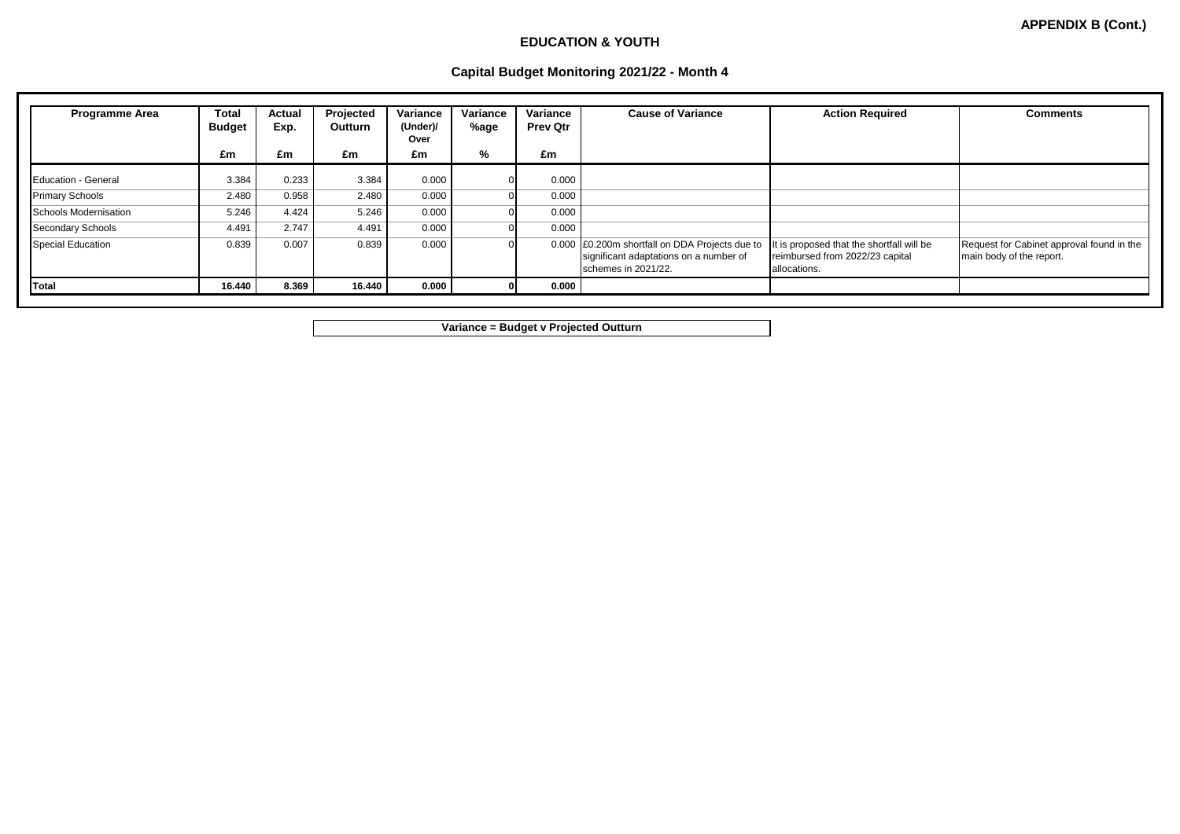### **EDUCATION & YOUTH**

## **Capital Budget Monitoring 2021/22 - Month 4**

| <b>Programme Area</b>    | Total<br><b>Budget</b> | Actual<br>Exp. | Projected<br>Outturn | Variance<br>(Under)/<br>Over | Variance<br>%age | Variance<br><b>Prev Qtr</b> | <b>Cause of Variance</b>                                                                                        | <b>Action Required</b>                                                                       | <b>Comments</b>                                                       |
|--------------------------|------------------------|----------------|----------------------|------------------------------|------------------|-----------------------------|-----------------------------------------------------------------------------------------------------------------|----------------------------------------------------------------------------------------------|-----------------------------------------------------------------------|
|                          | £m                     | £m             | £m                   | £m                           | %                | £m                          |                                                                                                                 |                                                                                              |                                                                       |
| Education - General      | 3.384                  | 0.233          | 3.384                | 0.000                        |                  | 0.000                       |                                                                                                                 |                                                                                              |                                                                       |
| <b>Primary Schools</b>   | 2.480                  | 0.958          | 2.480                | 0.000                        |                  | 0.000                       |                                                                                                                 |                                                                                              |                                                                       |
| Schools Modernisation    | 5.246                  | 4.424          | 5.246                | 0.000                        |                  | 0.000                       |                                                                                                                 |                                                                                              |                                                                       |
| <b>Secondary Schools</b> | 4.491                  | 2.747          | 4.491                | 0.000                        |                  | 0.000                       |                                                                                                                 |                                                                                              |                                                                       |
| <b>Special Education</b> | 0.839                  | 0.007          | 0.839                | 0.000                        |                  |                             | 0.000 £0.200m shortfall on DDA Projects due to<br>significant adaptations on a number of<br>schemes in 2021/22. | It is proposed that the shortfall will be<br>reimbursed from 2022/23 capital<br>allocations. | Request for Cabinet approval found in the<br>main body of the report. |
| Total                    | 16.440                 | 8.369          | 16.440               | 0.000                        |                  | 0.000                       |                                                                                                                 |                                                                                              |                                                                       |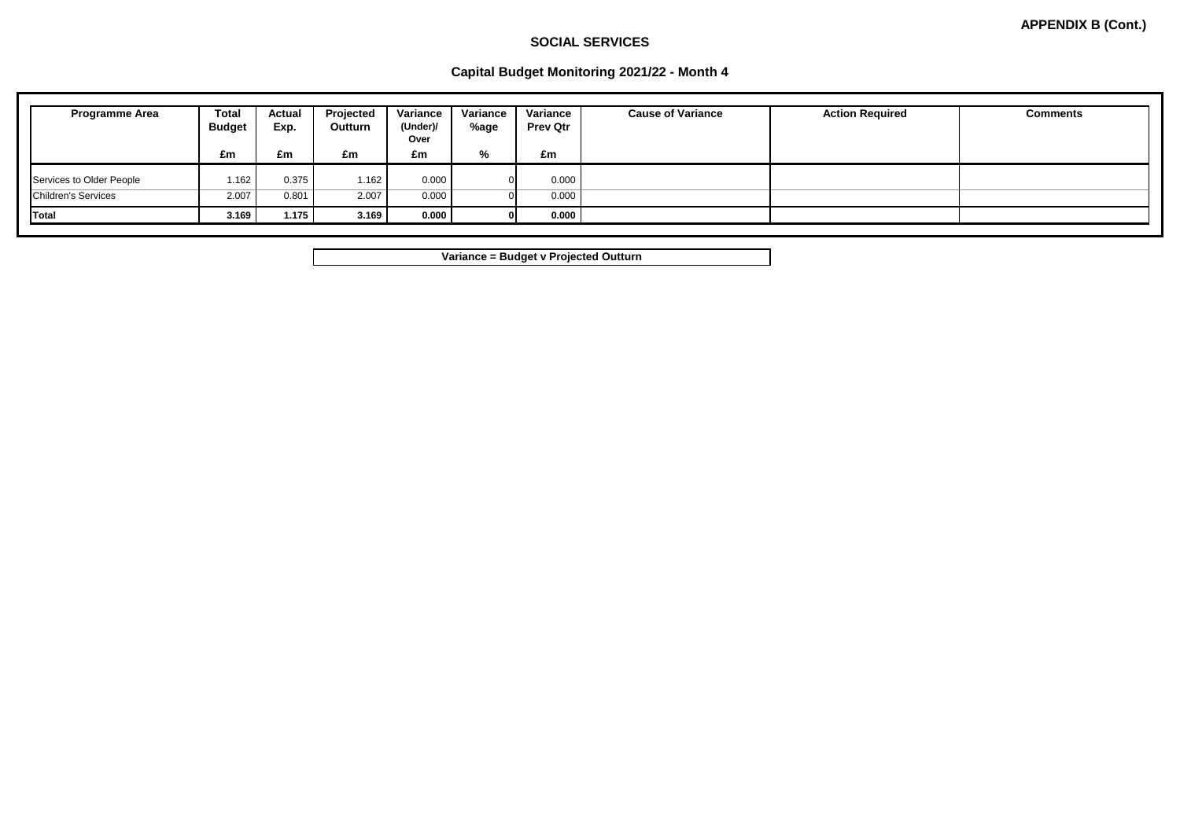## **SOCIAL SERVICES**

## **Capital Budget Monitoring 2021/22 - Month 4**

| <b>Programme Area</b>      | <b>Total</b><br><b>Budget</b> | Actual<br>Exp. | Projected<br><b>Outturn</b> | Variance<br>(Under)/<br>Over | Variance<br>%age | Variance<br><b>Prev Qtr</b> | <b>Cause of Variance</b> | <b>Action Required</b> | <b>Comments</b> |
|----------------------------|-------------------------------|----------------|-----------------------------|------------------------------|------------------|-----------------------------|--------------------------|------------------------|-----------------|
|                            | £m                            | £m             | £m                          | £m                           | %                | £m                          |                          |                        |                 |
| Services to Older People   | 1.162                         | 0.375          | 1.162                       | 0.000                        |                  | 0.000                       |                          |                        |                 |
| <b>Children's Services</b> | 2.007                         | 0.801          | 2.007                       | 0.000                        |                  | 0.000                       |                          |                        |                 |
| Total                      | 3.169                         | 1.175          | 3.169                       | 0.000                        |                  | 0.000                       |                          |                        |                 |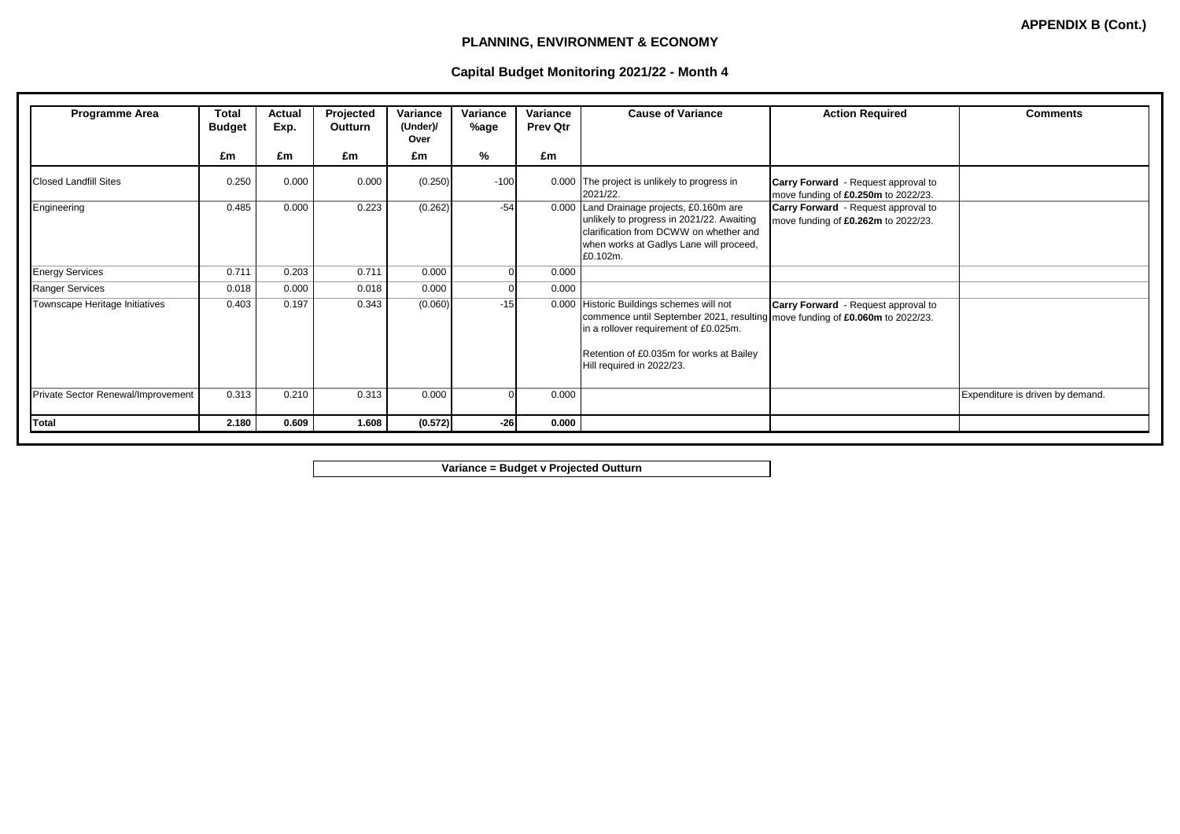## **PLANNING, ENVIRONMENT & ECONOMY**

## **Capital Budget Monitoring 2021/22 - Month 4**

| <b>Programme Area</b>              | Total<br><b>Budget</b> | Actual<br>Exp. | Projected<br>Outturn | Variance<br>(Under)/<br>Over | Variance<br>%age | Variance<br><b>Prev Qtr</b> | <b>Cause of Variance</b>                                                                                                                                                                                                                      | <b>Action Required</b>                                                            | <b>Comments</b>                  |
|------------------------------------|------------------------|----------------|----------------------|------------------------------|------------------|-----------------------------|-----------------------------------------------------------------------------------------------------------------------------------------------------------------------------------------------------------------------------------------------|-----------------------------------------------------------------------------------|----------------------------------|
|                                    | £m                     | £m             | £m                   | £m                           | %                | £m                          |                                                                                                                                                                                                                                               |                                                                                   |                                  |
| <b>Closed Landfill Sites</b>       | 0.250                  | 0.000          | 0.000                | (0.250)                      | $-100$           |                             | 0.000 The project is unlikely to progress in<br>2021/22.                                                                                                                                                                                      | <b>Carry Forward</b> - Request approval to<br>move funding of £0.250m to 2022/23. |                                  |
| Engineering                        | 0.485                  | 0.000          | 0.223                | (0.262)                      | $-54$            |                             | 0.000 Land Drainage projects, £0.160m are<br>unlikely to progress in 2021/22. Awaiting<br>clarification from DCWW on whether and<br>when works at Gadlys Lane will proceed,<br>£0.102m.                                                       | <b>Carry Forward</b> - Request approval to<br>move funding of £0.262m to 2022/23. |                                  |
| <b>Energy Services</b>             | 0.711                  | 0.203          | 0.711                | 0.000                        | 0                | 0.000                       |                                                                                                                                                                                                                                               |                                                                                   |                                  |
| <b>Ranger Services</b>             | 0.018                  | 0.000          | 0.018                | 0.000                        |                  | 0.000                       |                                                                                                                                                                                                                                               |                                                                                   |                                  |
| Townscape Heritage Initiatives     | 0.403                  | 0.197          | 0.343                | (0.060)                      | $-15$            |                             | 0.000 Historic Buildings schemes will not<br>commence until September 2021, resulting   move funding of £0.060m to 2022/23.<br>in a rollover requirement of £0.025m.<br>Retention of £0.035m for works at Bailey<br>Hill required in 2022/23. | <b>Carry Forward</b> - Request approval to                                        |                                  |
| Private Sector Renewal/Improvement | 0.313                  | 0.210          | 0.313                | 0.000                        | n                | 0.000                       |                                                                                                                                                                                                                                               |                                                                                   | Expenditure is driven by demand. |
| Total                              | 2.180                  | 0.609          | 1.608                | (0.572)                      | $-26$            | 0.000                       |                                                                                                                                                                                                                                               |                                                                                   |                                  |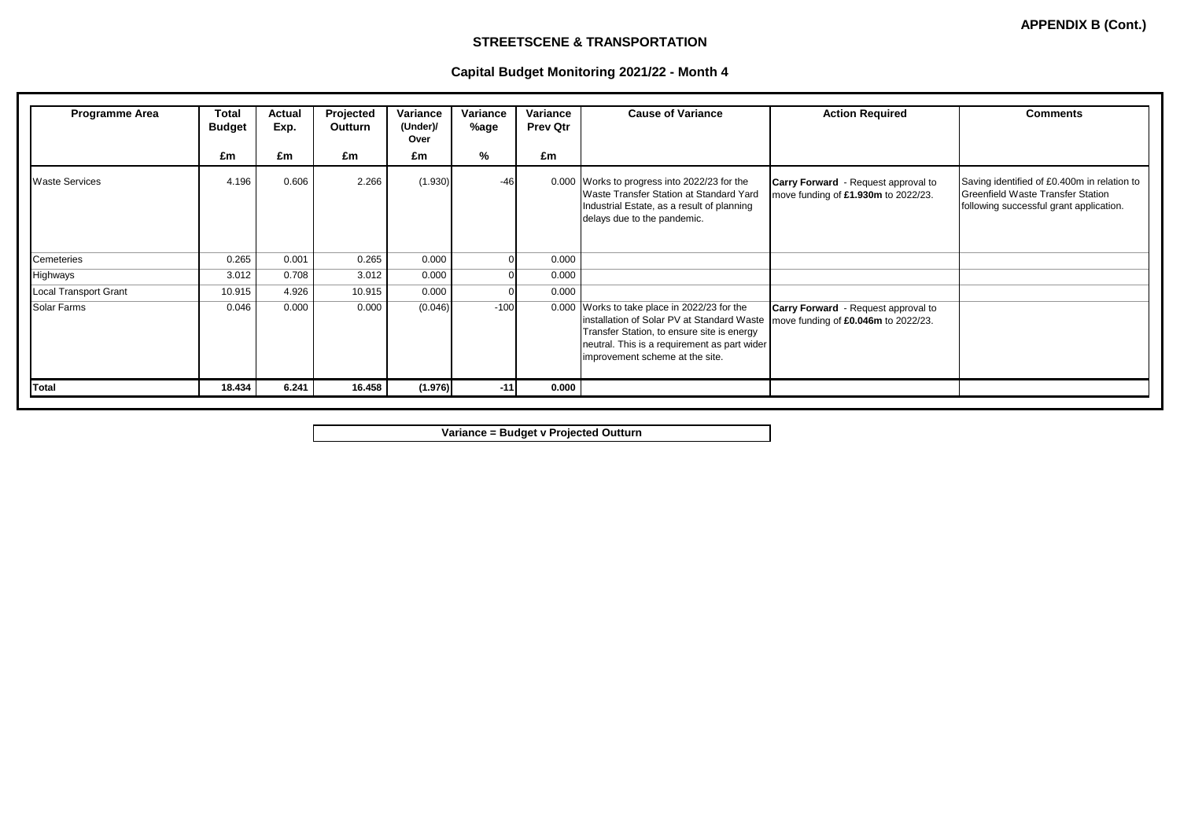### **STREETSCENE & TRANSPORTATION**

# **Capital Budget Monitoring 2021/22 - Month 4**

| <b>Programme Area</b>        | <b>Total</b><br><b>Budget</b> | Actual<br>Exp. | Projected<br>Outturn | Variance<br>(Under)/<br>Over | Variance<br>%age | Variance<br><b>Prev Qtr</b> | <b>Cause of Variance</b>                                                                                                                                                                                                    | <b>Action Required</b>                                                            | <b>Comments</b>                                                                                                             |
|------------------------------|-------------------------------|----------------|----------------------|------------------------------|------------------|-----------------------------|-----------------------------------------------------------------------------------------------------------------------------------------------------------------------------------------------------------------------------|-----------------------------------------------------------------------------------|-----------------------------------------------------------------------------------------------------------------------------|
|                              | £m                            | £m             | £m                   | £m                           | %                | £m                          |                                                                                                                                                                                                                             |                                                                                   |                                                                                                                             |
| <b>Waste Services</b>        | 4.196                         | 0.606          | 2.266                | (1.930)                      | $-46$            |                             | 0.000 Works to progress into 2022/23 for the<br>Waste Transfer Station at Standard Yard<br>Industrial Estate, as a result of planning<br>delays due to the pandemic.                                                        | <b>Carry Forward</b> - Request approval to<br>move funding of £1.930m to 2022/23. | Saving identified of £0.400m in relation to<br>Greenfield Waste Transfer Station<br>following successful grant application. |
| Cemeteries                   | 0.265                         | 0.001          | 0.265                | 0.000                        | O                | 0.000                       |                                                                                                                                                                                                                             |                                                                                   |                                                                                                                             |
| Highways                     | 3.012                         | 0.708          | 3.012                | 0.000                        | U                | 0.000                       |                                                                                                                                                                                                                             |                                                                                   |                                                                                                                             |
| <b>Local Transport Grant</b> | 10.915                        | 4.926          | 10.915               | 0.000                        |                  | 0.000                       |                                                                                                                                                                                                                             |                                                                                   |                                                                                                                             |
| Solar Farms                  | 0.046                         | 0.000          | 0.000                | (0.046)                      | $-100$           |                             | 0.000 Works to take place in 2022/23 for the<br>installation of Solar PV at Standard Waste<br>Transfer Station, to ensure site is energy<br>neutral. This is a requirement as part wider<br>improvement scheme at the site. | <b>Carry Forward</b> - Request approval to<br>move funding of £0.046m to 2022/23. |                                                                                                                             |
| <b>Total</b>                 | 18.434                        | 6.241          | 16.458               | (1.976)                      | $-11$            | 0.000                       |                                                                                                                                                                                                                             |                                                                                   |                                                                                                                             |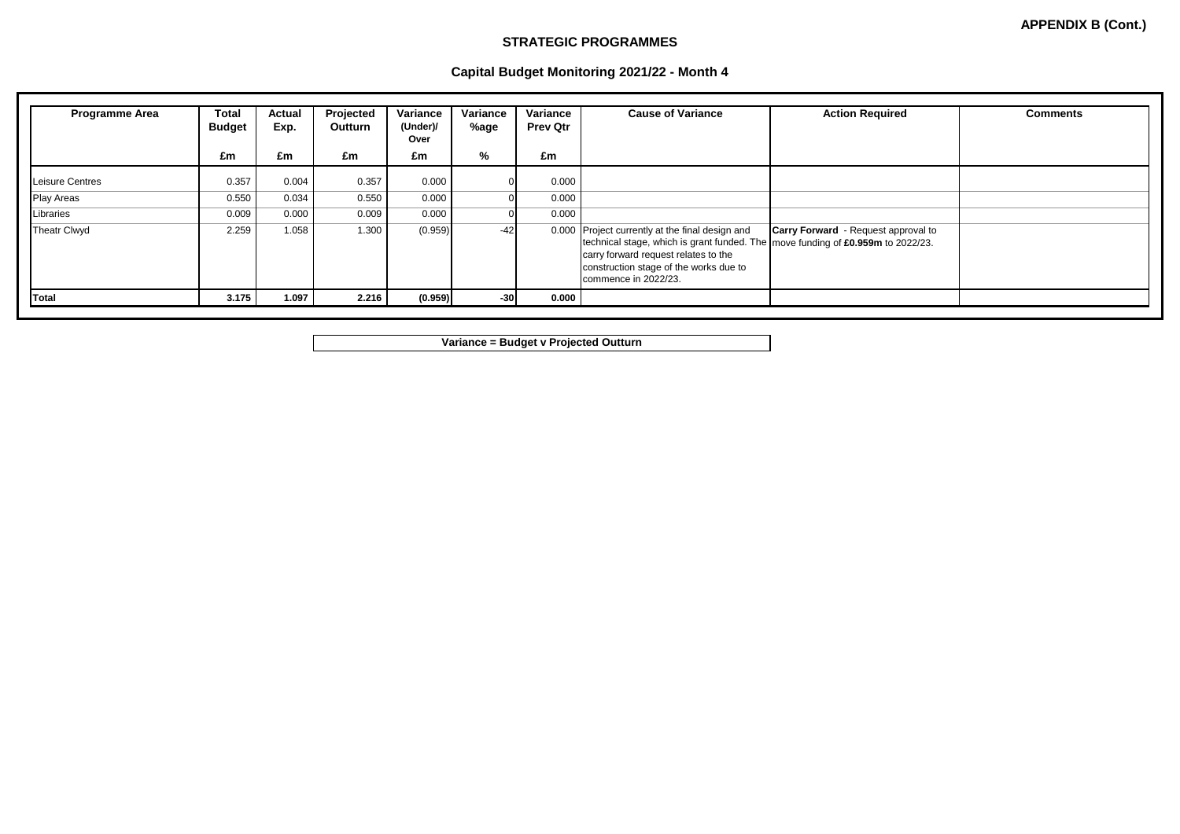#### **STRATEGIC PROGRAMMES**

|  | Capital Budget Monitoring 2021/22 - Month 4 |
|--|---------------------------------------------|
|  |                                             |

| <b>Programme Area</b> | Total<br><b>Budget</b> | Actual<br>Exp. | Projected<br><b>Outturn</b> | Variance<br>(Under)/<br>Over | Variance<br>%age | Variance<br><b>Prev Qtr</b> | <b>Cause of Variance</b>                                                                                                                                                                                                                       | <b>Action Required</b>                     | <b>Comments</b> |
|-----------------------|------------------------|----------------|-----------------------------|------------------------------|------------------|-----------------------------|------------------------------------------------------------------------------------------------------------------------------------------------------------------------------------------------------------------------------------------------|--------------------------------------------|-----------------|
|                       | £m                     | £m             | £m                          | £m                           | %                | £m                          |                                                                                                                                                                                                                                                |                                            |                 |
| Leisure Centres       | 0.357                  | 0.004          | 0.357                       | 0.000                        |                  | 0.000                       |                                                                                                                                                                                                                                                |                                            |                 |
| <b>Play Areas</b>     | 0.550                  | 0.034          | 0.550                       | 0.000                        |                  | 0.000                       |                                                                                                                                                                                                                                                |                                            |                 |
| Libraries             | 0.009                  | 0.000          | 0.009                       | 0.000                        |                  | 0.000                       |                                                                                                                                                                                                                                                |                                            |                 |
| <b>Theatr Clwyd</b>   | 2.259                  | 1.058          | 1.300                       | (0.959)                      | $-42$            |                             | 0.000 Project currently at the final design and<br>technical stage, which is grant funded. The   move funding of £0.959m to 2022/23.<br>carry forward request relates to the<br>construction stage of the works due to<br>commence in 2022/23. | <b>Carry Forward</b> - Request approval to |                 |
| Total                 | 3.175                  | 1.097          | 2.216                       | (0.959)                      | $-30$            | 0.000                       |                                                                                                                                                                                                                                                |                                            |                 |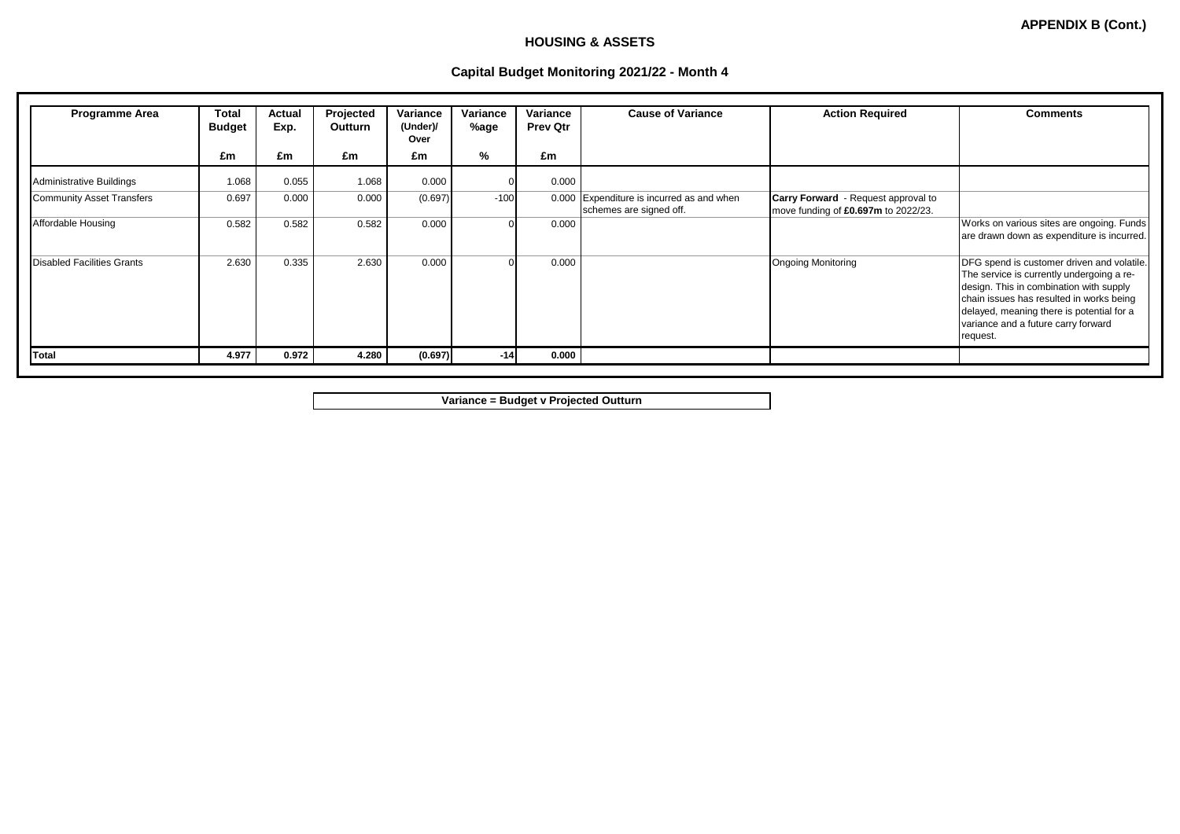### **HOUSING & ASSETS**

## **Capital Budget Monitoring 2021/22 - Month 4**

| <b>Programme Area</b>             | Total<br><b>Budget</b><br>£m | Actual<br>Exp.<br>£m | Projected<br>Outturn<br>£m | Variance<br>(Under)/<br>Over<br>£m | Variance<br>%age<br>% | Variance<br><b>Prev Qtr</b><br>£m | <b>Cause of Variance</b>                                             | <b>Action Required</b>                                                            | <b>Comments</b>                                                                                                                                                                                                                                                                |
|-----------------------------------|------------------------------|----------------------|----------------------------|------------------------------------|-----------------------|-----------------------------------|----------------------------------------------------------------------|-----------------------------------------------------------------------------------|--------------------------------------------------------------------------------------------------------------------------------------------------------------------------------------------------------------------------------------------------------------------------------|
| Administrative Buildings          | 1.068                        | 0.055                | 1.068                      | 0.000                              |                       | 0.000                             |                                                                      |                                                                                   |                                                                                                                                                                                                                                                                                |
| <b>Community Asset Transfers</b>  | 0.697                        | 0.000                | 0.000                      | (0.697)                            | $-100$                |                                   | 0.000 Expenditure is incurred as and when<br>schemes are signed off. | <b>Carry Forward</b> - Request approval to<br>move funding of £0.697m to 2022/23. |                                                                                                                                                                                                                                                                                |
| Affordable Housing                | 0.582                        | 0.582                | 0.582                      | 0.000                              | $\Omega$              | 0.000                             |                                                                      |                                                                                   | Works on various sites are ongoing. Funds<br>are drawn down as expenditure is incurred.                                                                                                                                                                                        |
| <b>Disabled Facilities Grants</b> | 2.630                        | 0.335                | 2.630                      | 0.000                              | $\Omega$              | 0.000                             |                                                                      | <b>Ongoing Monitoring</b>                                                         | DFG spend is customer driven and volatile.<br>The service is currently undergoing a re-<br>design. This in combination with supply<br>chain issues has resulted in works being<br>delayed, meaning there is potential for a<br>variance and a future carry forward<br>request. |
| <b>Total</b>                      | 4.977                        | 0.972                | 4.280                      | (0.697)                            | $-14$                 | 0.000                             |                                                                      |                                                                                   |                                                                                                                                                                                                                                                                                |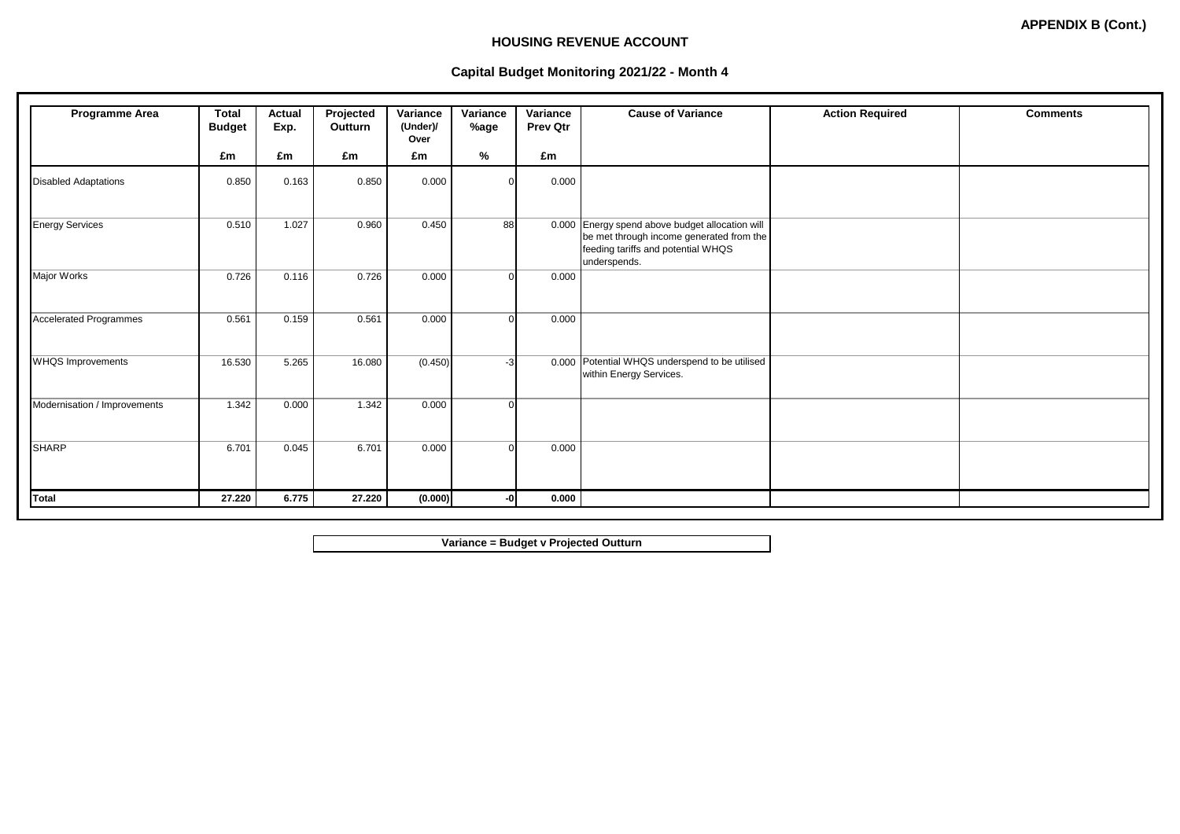### **HOUSING REVENUE ACCOUNT**

# **Capital Budget Monitoring 2021/22 - Month 4**

| <b>Programme Area</b>         | Total<br><b>Budget</b> | Actual<br>Exp. | Projected<br>Outturn | Variance<br>(Under)/<br>Over | Variance<br>%age | Variance<br><b>Prev Qtr</b> | <b>Cause of Variance</b>                                                                                                                          | <b>Action Required</b> | <b>Comments</b> |
|-------------------------------|------------------------|----------------|----------------------|------------------------------|------------------|-----------------------------|---------------------------------------------------------------------------------------------------------------------------------------------------|------------------------|-----------------|
|                               | £m                     | £m             | £m                   | £m                           | %                | £m                          |                                                                                                                                                   |                        |                 |
| <b>Disabled Adaptations</b>   | 0.850                  | 0.163          | 0.850                | 0.000                        | n                | 0.000                       |                                                                                                                                                   |                        |                 |
| Energy Services               | 0.510                  | 1.027          | 0.960                | 0.450                        | 88               |                             | 0.000 Energy spend above budget allocation will<br>be met through income generated from the<br>feeding tariffs and potential WHQS<br>underspends. |                        |                 |
| Major Works                   | 0.726                  | 0.116          | 0.726                | 0.000                        | 0                | 0.000                       |                                                                                                                                                   |                        |                 |
| <b>Accelerated Programmes</b> | 0.561                  | 0.159          | 0.561                | 0.000                        | $\Omega$         | 0.000                       |                                                                                                                                                   |                        |                 |
| <b>WHQS Improvements</b>      | 16.530                 | 5.265          | 16.080               | (0.450)                      | $-3$             |                             | 0.000 Potential WHQS underspend to be utilised<br>within Energy Services.                                                                         |                        |                 |
| Modernisation / Improvements  | 1.342                  | 0.000          | 1.342                | 0.000                        | 0                |                             |                                                                                                                                                   |                        |                 |
| <b>SHARP</b>                  | 6.701                  | 0.045          | 6.701                | 0.000                        | $\Omega$         | 0.000                       |                                                                                                                                                   |                        |                 |
| Total                         | 27.220                 | 6.775          | 27.220               | (0.000)                      | -0               | 0.000                       |                                                                                                                                                   |                        |                 |